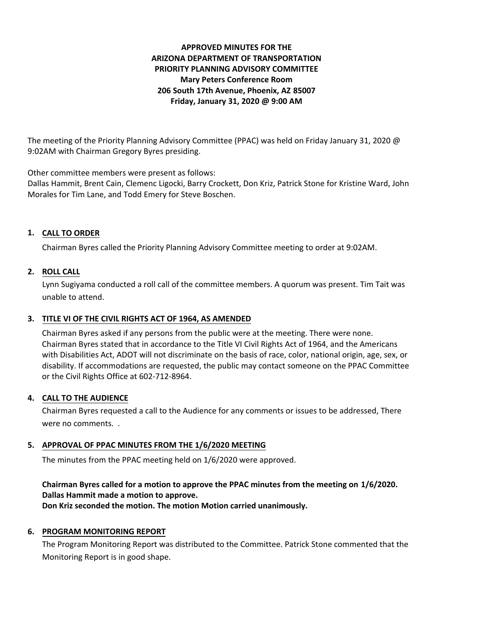# **APPROVED MINUTES FOR THE ARIZONA DEPARTMENT OF TRANSPORTATION PRIORITY PLANNING ADVISORY COMMITTEE Mary Peters Conference Room 206 South 17th Avenue, Phoenix, AZ 85007 Friday, January 31, 2020 @ 9:00 AM**

The meeting of the Priority Planning Advisory Committee (PPAC) was held on Friday January 31, 2020 @ 9:02AM with Chairman Gregory Byres presiding.

Other committee members were present as follows:

Dallas Hammit, Brent Cain, Clemenc Ligocki, Barry Crockett, Don Kriz, Patrick Stone for Kristine Ward, John Morales for Tim Lane, and Todd Emery for Steve Boschen.

# **CALL TO ORDER 1.**

Chairman Byres called the Priority Planning Advisory Committee meeting to order at 9:02AM.

## **ROLL CALL 2.**

Lynn Sugiyama conducted a roll call of the committee members. A quorum was present. Tim Tait was unable to attend.

# **TITLE VI OF THE CIVIL RIGHTS ACT OF 1964, AS AMENDED 3.**

Chairman Byres asked if any persons from the public were at the meeting. There were none. Chairman Byres stated that in accordance to the Title VI Civil Rights Act of 1964, and the Americans with Disabilities Act, ADOT will not discriminate on the basis of race, color, national origin, age, sex, or disability. If accommodations are requested, the public may contact someone on the PPAC Committee or the Civil Rights Office at 602-712-8964.

## **CALL TO THE AUDIENCE 4.**

Chairman Byres requested a call to the Audience for any comments or issues to be addressed, There were no comments. .

## **APPROVAL OF PPAC MINUTES FROM THE 1/6/2020 MEETING 5.**

The minutes from the PPAC meeting held on 1/6/2020 were approved.

# **Chairman Byres called for a motion to approve the PPAC minutes from the meeting on 1/6/2020. Dallas Hammit made a motion to approve.**

**Don Kriz seconded the motion. The motion Motion carried unanimously.**

## **6. PROGRAM MONITORING REPORT**

The Program Monitoring Report was distributed to the Committee. Patrick Stone commented that the Monitoring Report is in good shape.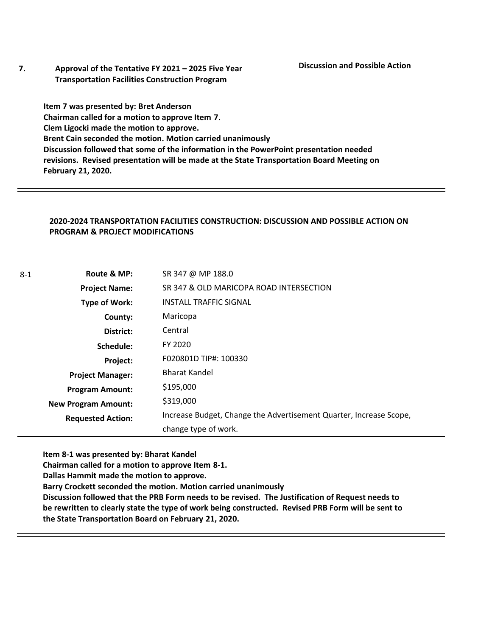**7. Approval of the Tentative FY 2021 – 2025 Five Year Transportation Facilities Construction Program**

**Item 7 was presented by: Bret Anderson Chairman called for a motion to approve Item 7. Clem Ligocki made the motion to approve. Brent Cain seconded the motion. Motion carried unanimously Discussion followed that some of the information in the PowerPoint presentation needed revisions. Revised presentation will be made at the State Transportation Board Meeting on February 21, 2020.** 

## **2020-2024 TRANSPORTATION FACILITIES CONSTRUCTION: DISCUSSION AND POSSIBLE ACTION ON PROGRAM & PROJECT MODIFICATIONS**

| Route & MP:                | SR 347 @ MP 188.0                                                  |  |  |
|----------------------------|--------------------------------------------------------------------|--|--|
| <b>Project Name:</b>       | SR 347 & OLD MARICOPA ROAD INTERSECTION                            |  |  |
| Type of Work:              | <b>INSTALL TRAFFIC SIGNAL</b>                                      |  |  |
| County:                    | Maricopa                                                           |  |  |
| District:                  | Central                                                            |  |  |
| Schedule:                  | FY 2020                                                            |  |  |
| Project:                   | F020801D TIP#: 100330                                              |  |  |
| <b>Project Manager:</b>    | <b>Bharat Kandel</b>                                               |  |  |
| <b>Program Amount:</b>     | \$195,000                                                          |  |  |
| <b>New Program Amount:</b> | \$319,000                                                          |  |  |
| <b>Requested Action:</b>   | Increase Budget, Change the Advertisement Quarter, Increase Scope, |  |  |
|                            | change type of work.                                               |  |  |

**Item 8-1 was presented by: Bharat Kandel**

**Chairman called for a motion to approve Item 8-1.**

**Dallas Hammit made the motion to approve.**

**Barry Crockett seconded the motion. Motion carried unanimously**

**Discussion followed that the PRB Form needs to be revised. The Justification of Request needs to be rewritten to clearly state the type of work being constructed. Revised PRB Form will be sent to the State Transportation Board on February 21, 2020.**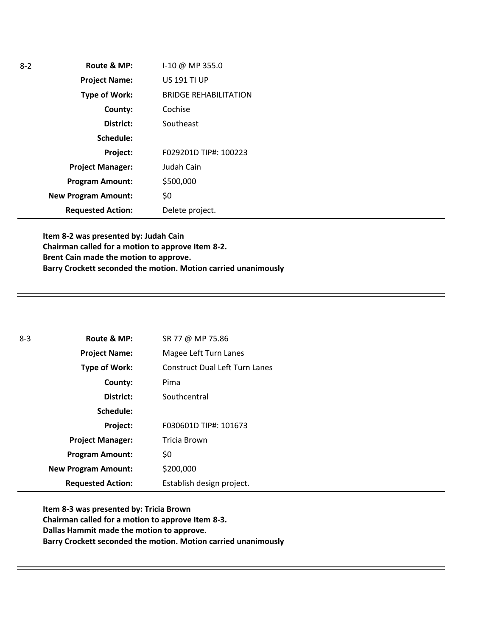| $3-2$ | Route & MP:                | I-10 @ MP 355.0              |
|-------|----------------------------|------------------------------|
|       | <b>Project Name:</b>       | <b>US 191 TI UP</b>          |
|       | <b>Type of Work:</b>       | <b>BRIDGE REHABILITATION</b> |
|       | County:                    | Cochise                      |
|       | District:                  | Southeast                    |
|       | Schedule:                  |                              |
|       | <b>Project:</b>            | F029201D TIP#: 100223        |
|       | <b>Project Manager:</b>    | Judah Cain                   |
|       | <b>Program Amount:</b>     | \$500,000                    |
|       | <b>New Program Amount:</b> | \$0                          |
|       | <b>Requested Action:</b>   | Delete project.              |

**Item 8-2 was presented by: Judah Cain Chairman called for a motion to approve Item 8-2. Brent Cain made the motion to approve. Barry Crockett seconded the motion. Motion carried unanimously**

| $8-3$ | Route & MP:                | SR 77 @ MP 75.86                      |
|-------|----------------------------|---------------------------------------|
|       | <b>Project Name:</b>       | Magee Left Turn Lanes                 |
|       | Type of Work:              | <b>Construct Dual Left Turn Lanes</b> |
|       | County:                    | Pima                                  |
|       | District:                  | Southcentral                          |
|       | Schedule:                  |                                       |
|       | Project:                   | F030601D TIP#: 101673                 |
|       | <b>Project Manager:</b>    | Tricia Brown                          |
|       | <b>Program Amount:</b>     | \$0                                   |
|       | <b>New Program Amount:</b> | \$200,000                             |
|       | <b>Requested Action:</b>   | Establish design project.             |

**Item 8-3 was presented by: Tricia Brown Chairman called for a motion to approve Item 8-3. Dallas Hammit made the motion to approve. Barry Crockett seconded the motion. Motion carried unanimously**

8-2